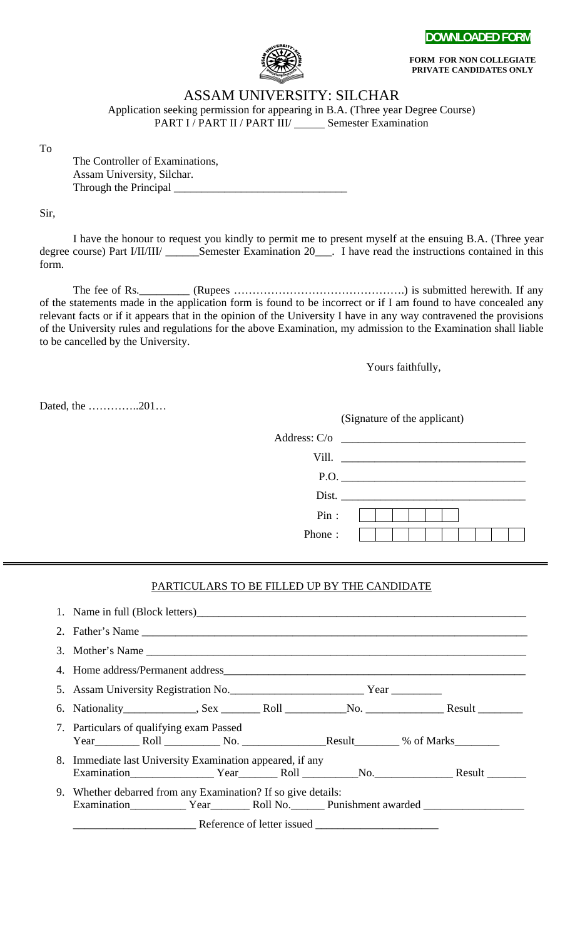



**FORM FOR NON COLLEGIATE PRIVATE CANDIDATES ONLY**

## ASSAM UNIVERSITY: SILCHAR

Application seeking permission for appearing in B.A. (Three year Degree Course) PART I / PART II / PART III/ Semester Examination

To

The Controller of Examinations, Assam University, Silchar. Through the Principal

Sir,

I have the honour to request you kindly to permit me to present myself at the ensuing B.A. (Three year degree course) Part I/II/III/ \_\_\_\_\_\_Semester Examination 20\_\_\_. I have read the instructions contained in this form.

The fee of Rs.\_\_\_\_\_\_\_\_\_ (Rupees ……………………………………….) is submitted herewith. If any of the statements made in the application form is found to be incorrect or if I am found to have concealed any relevant facts or if it appears that in the opinion of the University I have in any way contravened the provisions of the University rules and regulations for the above Examination, my admission to the Examination shall liable to be cancelled by the University.

Yours faithfully,

Dated, the …………..201…

(Signature of the applicant)

|        | Address: C/o |
|--------|--------------|
|        |              |
|        |              |
|        | Dist.        |
| Pin:   |              |
| Phone: |              |

### PARTICULARS TO BE FILLED UP BY THE CANDIDATE

| 7. Particulars of qualifying exam Passed<br>Year Roll No. Result % of Marks                                                                                                                                                                                 |
|-------------------------------------------------------------------------------------------------------------------------------------------------------------------------------------------------------------------------------------------------------------|
| 8. Immediate last University Examination appeared, if any<br>Examination <b>Examination Property Property Result Property Property Result Property Property Property Property Property Property Property Property Property Property Property Property P</b> |
| 9. Whether debarred from any Examination? If so give details:                                                                                                                                                                                               |
| <b>Example 2.1 A Reference of letter issued</b>                                                                                                                                                                                                             |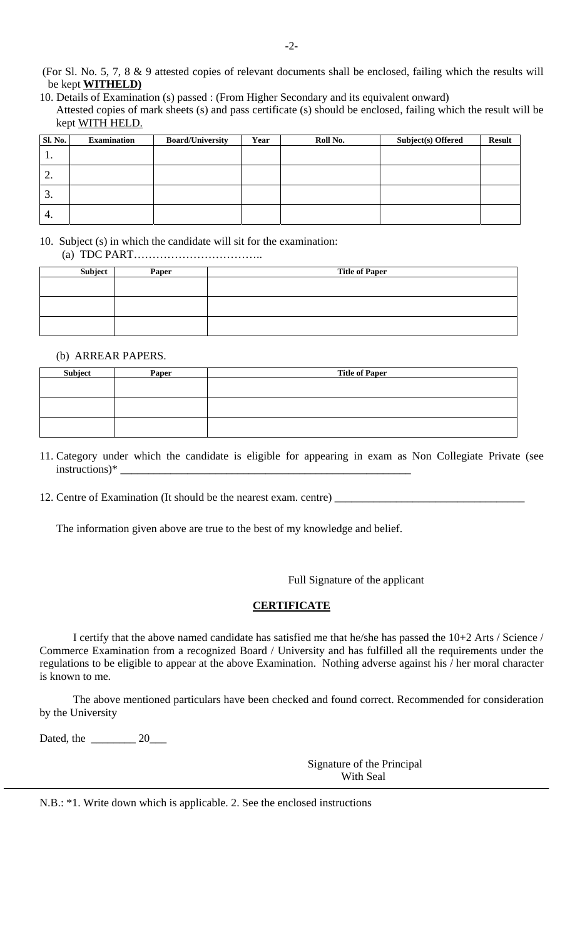(For Sl. No. 5, 7, 8 & 9 attested copies of relevant documents shall be enclosed, failing which the results will be kept **WITHELD)**

| 10. Details of Examination (s) passed : (From Higher Secondary and its equivalent onward)                        |
|------------------------------------------------------------------------------------------------------------------|
| Attested copies of mark sheets (s) and pass certificate (s) should be enclosed, failing which the result will be |
| kept WITH HELD.                                                                                                  |

| <b>Sl. No.</b> | <b>Examination</b> | <b>Board/University</b> | Year | Roll No. | <b>Subject(s) Offered</b> | <b>Result</b> |
|----------------|--------------------|-------------------------|------|----------|---------------------------|---------------|
| . .            |                    |                         |      |          |                           |               |
| റ<br>∠.        |                    |                         |      |          |                           |               |
| 3.             |                    |                         |      |          |                           |               |
| 4.             |                    |                         |      |          |                           |               |

#### 10. Subject (s) in which the candidate will sit for the examination:

(a) TDC PART……………………………..

| Subject | Paper | <b>Title of Paper</b> |
|---------|-------|-----------------------|
|         |       |                       |
|         |       |                       |
|         |       |                       |
|         |       |                       |
|         |       |                       |
|         |       |                       |

#### (b) ARREAR PAPERS.

| Subject | Paper | <b>Title of Paper</b> |
|---------|-------|-----------------------|
|         |       |                       |
|         |       |                       |
|         |       |                       |
|         |       |                       |
|         |       |                       |
|         |       |                       |

11. Category under which the candidate is eligible for appearing in exam as Non Collegiate Private (see instructions)\*

12. Centre of Examination (It should be the nearest exam. centre) \_\_\_\_\_\_\_\_\_\_\_\_\_\_

The information given above are true to the best of my knowledge and belief.

Full Signature of the applicant

#### **CERTIFICATE**

 I certify that the above named candidate has satisfied me that he/she has passed the 10+2 Arts / Science / Commerce Examination from a recognized Board / University and has fulfilled all the requirements under the regulations to be eligible to appear at the above Examination. Nothing adverse against his / her moral character is known to me.

 The above mentioned particulars have been checked and found correct. Recommended for consideration by the University

Dated, the \_\_\_\_\_\_\_\_ 20\_\_\_

 Signature of the Principal With Seal

N.B.: \*1. Write down which is applicable. 2. See the enclosed instructions